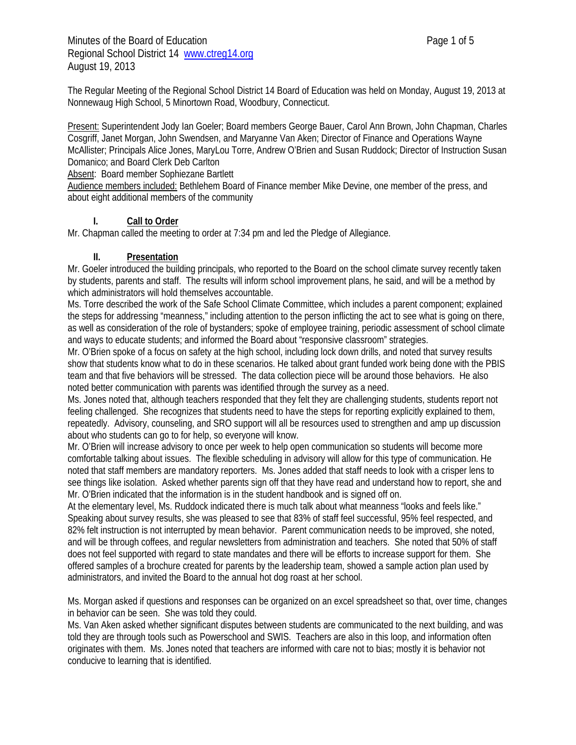Minutes of the Board of Education **Page 1 of 5** and  $\overline{a}$  Page 1 of 5 Regional School District 14 www.ctreg14.org August 19, 2013

The Regular Meeting of the Regional School District 14 Board of Education was held on Monday, August 19, 2013 at Nonnewaug High School, 5 Minortown Road, Woodbury, Connecticut.

Present: Superintendent Jody Ian Goeler; Board members George Bauer, Carol Ann Brown, John Chapman, Charles Cosgriff, Janet Morgan, John Swendsen, and Maryanne Van Aken; Director of Finance and Operations Wayne McAllister; Principals Alice Jones, MaryLou Torre, Andrew O'Brien and Susan Ruddock; Director of Instruction Susan Domanico; and Board Clerk Deb Carlton

Absent: Board member Sophiezane Bartlett

Audience members included: Bethlehem Board of Finance member Mike Devine, one member of the press, and about eight additional members of the community

#### **I. Call to Order**

Mr. Chapman called the meeting to order at 7:34 pm and led the Pledge of Allegiance.

#### **II. Presentation**

Mr. Goeler introduced the building principals, who reported to the Board on the school climate survey recently taken by students, parents and staff. The results will inform school improvement plans, he said, and will be a method by which administrators will hold themselves accountable.

Ms. Torre described the work of the Safe School Climate Committee, which includes a parent component; explained the steps for addressing "meanness," including attention to the person inflicting the act to see what is going on there, as well as consideration of the role of bystanders; spoke of employee training, periodic assessment of school climate and ways to educate students; and informed the Board about "responsive classroom" strategies.

Mr. O'Brien spoke of a focus on safety at the high school, including lock down drills, and noted that survey results show that students know what to do in these scenarios. He talked about grant funded work being done with the PBIS team and that five behaviors will be stressed. The data collection piece will be around those behaviors. He also noted better communication with parents was identified through the survey as a need.

Ms. Jones noted that, although teachers responded that they felt they are challenging students, students report not feeling challenged. She recognizes that students need to have the steps for reporting explicitly explained to them, repeatedly. Advisory, counseling, and SRO support will all be resources used to strengthen and amp up discussion about who students can go to for help, so everyone will know.

Mr. O'Brien will increase advisory to once per week to help open communication so students will become more comfortable talking about issues. The flexible scheduling in advisory will allow for this type of communication. He noted that staff members are mandatory reporters. Ms. Jones added that staff needs to look with a crisper lens to see things like isolation. Asked whether parents sign off that they have read and understand how to report, she and Mr. O'Brien indicated that the information is in the student handbook and is signed off on.

At the elementary level, Ms. Ruddock indicated there is much talk about what meanness "looks and feels like." Speaking about survey results, she was pleased to see that 83% of staff feel successful, 95% feel respected, and 82% felt instruction is not interrupted by mean behavior. Parent communication needs to be improved, she noted, and will be through coffees, and regular newsletters from administration and teachers. She noted that 50% of staff does not feel supported with regard to state mandates and there will be efforts to increase support for them. She offered samples of a brochure created for parents by the leadership team, showed a sample action plan used by administrators, and invited the Board to the annual hot dog roast at her school.

Ms. Morgan asked if questions and responses can be organized on an excel spreadsheet so that, over time, changes in behavior can be seen. She was told they could.

Ms. Van Aken asked whether significant disputes between students are communicated to the next building, and was told they are through tools such as Powerschool and SWIS. Teachers are also in this loop, and information often originates with them. Ms. Jones noted that teachers are informed with care not to bias; mostly it is behavior not conducive to learning that is identified.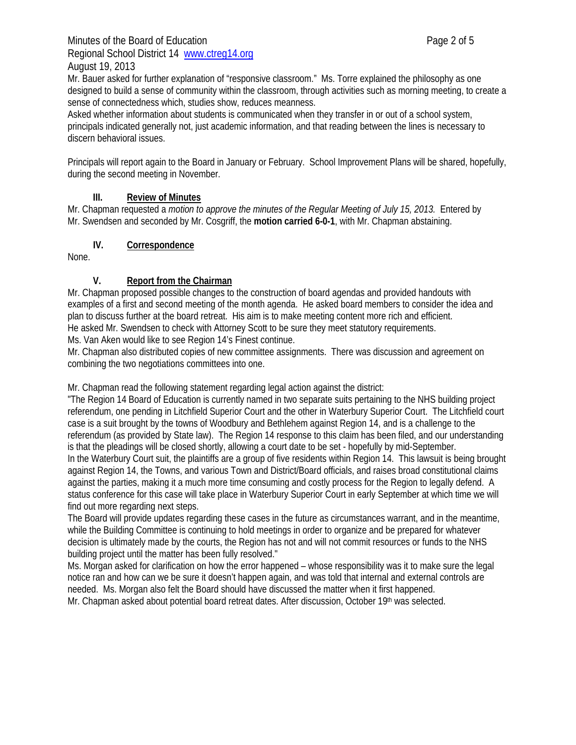# Minutes of the Board of Education **Page 2 of 5** and  $P$ Regional School District 14 www.ctreg14.org

# August 19, 2013

Mr. Bauer asked for further explanation of "responsive classroom." Ms. Torre explained the philosophy as one designed to build a sense of community within the classroom, through activities such as morning meeting, to create a sense of connectedness which, studies show, reduces meanness.

Asked whether information about students is communicated when they transfer in or out of a school system, principals indicated generally not, just academic information, and that reading between the lines is necessary to discern behavioral issues.

Principals will report again to the Board in January or February. School Improvement Plans will be shared, hopefully, during the second meeting in November.

### **III. Review of Minutes**

Mr. Chapman requested a *motion to approve the minutes of the Regular Meeting of July 15, 2013.* Entered by Mr. Swendsen and seconded by Mr. Cosgriff, the **motion carried 6-0-1**, with Mr. Chapman abstaining.

### **IV. Correspondence**

None.

### **V. Report from the Chairman**

Mr. Chapman proposed possible changes to the construction of board agendas and provided handouts with examples of a first and second meeting of the month agenda. He asked board members to consider the idea and plan to discuss further at the board retreat. His aim is to make meeting content more rich and efficient. He asked Mr. Swendsen to check with Attorney Scott to be sure they meet statutory requirements.

Ms. Van Aken would like to see Region 14's Finest continue.

Mr. Chapman also distributed copies of new committee assignments. There was discussion and agreement on combining the two negotiations committees into one.

Mr. Chapman read the following statement regarding legal action against the district:

"The Region 14 Board of Education is currently named in two separate suits pertaining to the NHS building project referendum, one pending in Litchfield Superior Court and the other in Waterbury Superior Court. The Litchfield court case is a suit brought by the towns of Woodbury and Bethlehem against Region 14, and is a challenge to the referendum (as provided by State law). The Region 14 response to this claim has been filed, and our understanding is that the pleadings will be closed shortly, allowing a court date to be set - hopefully by mid-September. In the Waterbury Court suit, the plaintiffs are a group of five residents within Region 14. This lawsuit is being brought against Region 14, the Towns, and various Town and District/Board officials, and raises broad constitutional claims against the parties, making it a much more time consuming and costly process for the Region to legally defend. A status conference for this case will take place in Waterbury Superior Court in early September at which time we will find out more regarding next steps.

The Board will provide updates regarding these cases in the future as circumstances warrant, and in the meantime, while the Building Committee is continuing to hold meetings in order to organize and be prepared for whatever decision is ultimately made by the courts, the Region has not and will not commit resources or funds to the NHS building project until the matter has been fully resolved."

Ms. Morgan asked for clarification on how the error happened – whose responsibility was it to make sure the legal notice ran and how can we be sure it doesn't happen again, and was told that internal and external controls are needed. Ms. Morgan also felt the Board should have discussed the matter when it first happened. Mr. Chapman asked about potential board retreat dates. After discussion, October 19<sup>th</sup> was selected.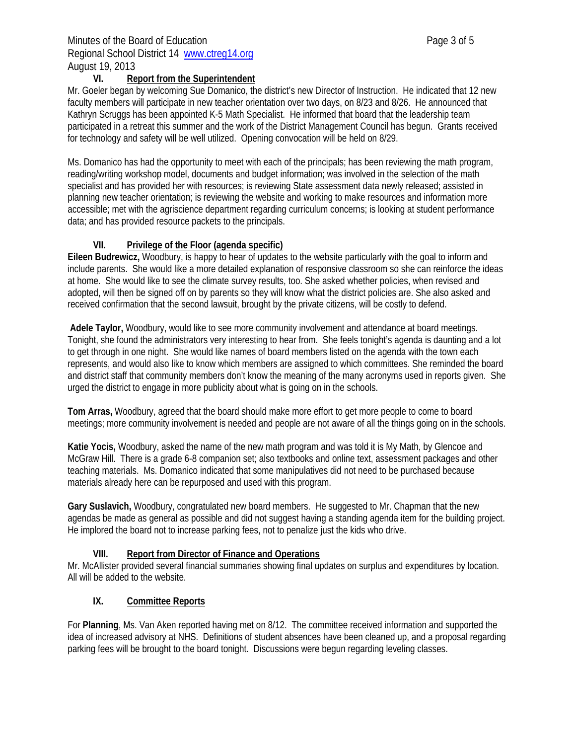### Minutes of the Board of Education **Page 3 of 5** and  $P$ Regional School District 14 www.ctreg14.org August 19, 2013

### **VI. Report from the Superintendent**

Mr. Goeler began by welcoming Sue Domanico, the district's new Director of Instruction. He indicated that 12 new faculty members will participate in new teacher orientation over two days, on 8/23 and 8/26. He announced that Kathryn Scruggs has been appointed K-5 Math Specialist. He informed that board that the leadership team participated in a retreat this summer and the work of the District Management Council has begun. Grants received for technology and safety will be well utilized. Opening convocation will be held on 8/29.

Ms. Domanico has had the opportunity to meet with each of the principals; has been reviewing the math program, reading/writing workshop model, documents and budget information; was involved in the selection of the math specialist and has provided her with resources; is reviewing State assessment data newly released; assisted in planning new teacher orientation; is reviewing the website and working to make resources and information more accessible; met with the agriscience department regarding curriculum concerns; is looking at student performance data; and has provided resource packets to the principals.

# **VII. Privilege of the Floor (agenda specific)**

**Eileen Budrewicz,** Woodbury, is happy to hear of updates to the website particularly with the goal to inform and include parents. She would like a more detailed explanation of responsive classroom so she can reinforce the ideas at home. She would like to see the climate survey results, too. She asked whether policies, when revised and adopted, will then be signed off on by parents so they will know what the district policies are. She also asked and received confirmation that the second lawsuit, brought by the private citizens, will be costly to defend.

**Adele Taylor,** Woodbury, would like to see more community involvement and attendance at board meetings. Tonight, she found the administrators very interesting to hear from. She feels tonight's agenda is daunting and a lot to get through in one night. She would like names of board members listed on the agenda with the town each represents, and would also like to know which members are assigned to which committees. She reminded the board and district staff that community members don't know the meaning of the many acronyms used in reports given. She urged the district to engage in more publicity about what is going on in the schools.

**Tom Arras,** Woodbury, agreed that the board should make more effort to get more people to come to board meetings; more community involvement is needed and people are not aware of all the things going on in the schools.

**Katie Yocis,** Woodbury, asked the name of the new math program and was told it is My Math, by Glencoe and McGraw Hill. There is a grade 6-8 companion set; also textbooks and online text, assessment packages and other teaching materials. Ms. Domanico indicated that some manipulatives did not need to be purchased because materials already here can be repurposed and used with this program.

**Gary Suslavich,** Woodbury, congratulated new board members. He suggested to Mr. Chapman that the new agendas be made as general as possible and did not suggest having a standing agenda item for the building project. He implored the board not to increase parking fees, not to penalize just the kids who drive.

# **VIII. Report from Director of Finance and Operations**

Mr. McAllister provided several financial summaries showing final updates on surplus and expenditures by location. All will be added to the website.

# **IX. Committee Reports**

For **Planning**, Ms. Van Aken reported having met on 8/12. The committee received information and supported the idea of increased advisory at NHS. Definitions of student absences have been cleaned up, and a proposal regarding parking fees will be brought to the board tonight. Discussions were begun regarding leveling classes.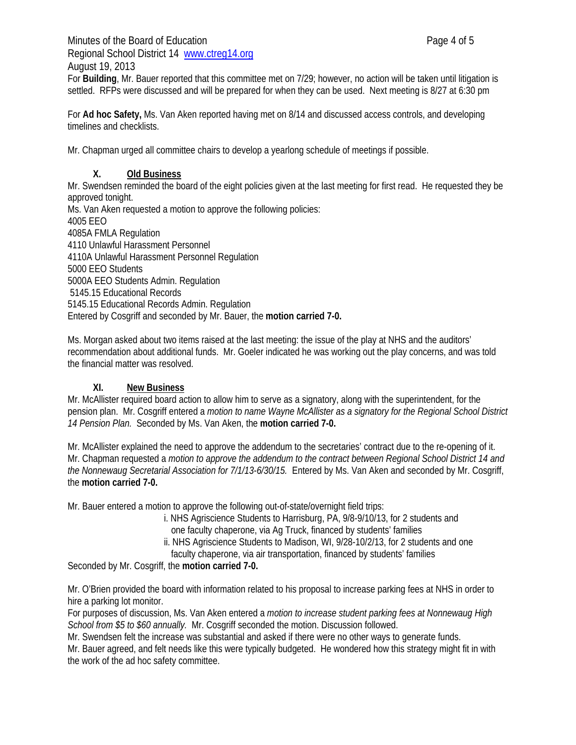Minutes of the Board of Education **Page 4 of 5** Regional School District 14 www.ctreg14.org

August 19, 2013

For **Building**, Mr. Bauer reported that this committee met on 7/29; however, no action will be taken until litigation is settled. RFPs were discussed and will be prepared for when they can be used. Next meeting is 8/27 at 6:30 pm

For **Ad hoc Safety,** Ms. Van Aken reported having met on 8/14 and discussed access controls, and developing timelines and checklists.

Mr. Chapman urged all committee chairs to develop a yearlong schedule of meetings if possible.

### **X. Old Business**

Mr. Swendsen reminded the board of the eight policies given at the last meeting for first read. He requested they be approved tonight.

Ms. Van Aken requested a motion to approve the following policies: 4005 EEO 4085A FMLA Regulation 4110 Unlawful Harassment Personnel 4110A Unlawful Harassment Personnel Regulation 5000 EEO Students 5000A EEO Students Admin. Regulation 5145.15 Educational Records 5145.15 Educational Records Admin. Regulation Entered by Cosgriff and seconded by Mr. Bauer, the **motion carried 7-0.** 

Ms. Morgan asked about two items raised at the last meeting: the issue of the play at NHS and the auditors' recommendation about additional funds. Mr. Goeler indicated he was working out the play concerns, and was told the financial matter was resolved.

#### **XI. New Business**

Mr. McAllister required board action to allow him to serve as a signatory, along with the superintendent, for the pension plan. Mr. Cosgriff entered a *motion to name Wayne McAllister as a signatory for the Regional School District 14 Pension Plan.* Seconded by Ms. Van Aken, the **motion carried 7-0.** 

Mr. McAllister explained the need to approve the addendum to the secretaries' contract due to the re-opening of it. Mr. Chapman requested a *motion to approve the addendum to the contract between Regional School District 14 and the Nonnewaug Secretarial Association for 7/1/13-6/30/15.* Entered by Ms. Van Aken and seconded by Mr. Cosgriff, the **motion carried 7-0.** 

Mr. Bauer entered a motion to approve the following out-of-state/overnight field trips:

 i. NHS Agriscience Students to Harrisburg, PA, 9/8-9/10/13, for 2 students and one faculty chaperone, via Ag Truck, financed by students' families

ii. NHS Agriscience Students to Madison, WI, 9/28-10/2/13, for 2 students and one

faculty chaperone, via air transportation, financed by students' families

Seconded by Mr. Cosgriff, the **motion carried 7-0.** 

Mr. O'Brien provided the board with information related to his proposal to increase parking fees at NHS in order to hire a parking lot monitor.

For purposes of discussion, Ms. Van Aken entered a *motion to increase student parking fees at Nonnewaug High School from \$5 to \$60 annually.* Mr. Cosgriff seconded the motion. Discussion followed.

Mr. Swendsen felt the increase was substantial and asked if there were no other ways to generate funds.

Mr. Bauer agreed, and felt needs like this were typically budgeted. He wondered how this strategy might fit in with the work of the ad hoc safety committee.